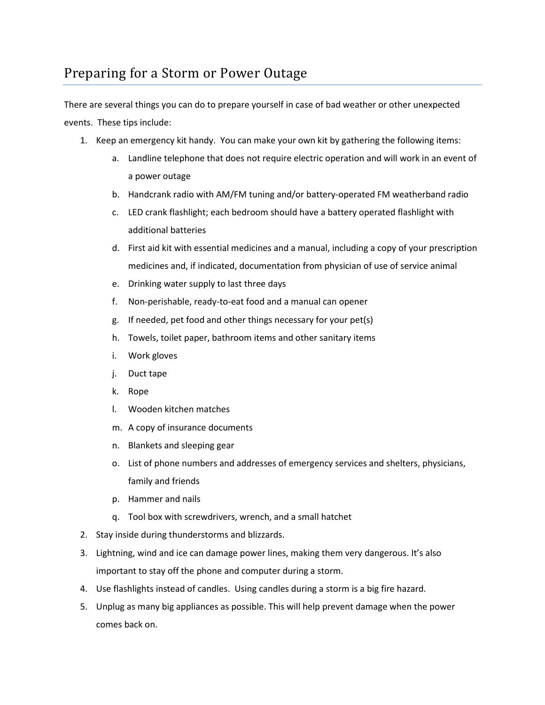There are several things you can do to prepare yourself in case of bad weather or other unexpected events. These tips include:

- 1. Keep an emergency kit handy. You can make your own kit by gathering the following items:
	- a. Landline telephone that does not require electric operation and will work in an event of a power outage
	- b. Handcrank radio with AM/FM tuning and/or battery-operated FM weatherband radio
	- c. LED crank flashlight; each bedroom should have a battery operated flashlight with additional batteries
	- d. First aid kit with essential medicines and a manual, including a copy of your prescription medicines and, if indicated, documentation from physician of use of service animal
	- e. Drinking water supply to last three days
	- f. Non-perishable, ready-to-eat food and a manual can opener
	- g. If needed, pet food and other things necessary for your pet(s)
	- h. Towels, toilet paper, bathroom items and other sanitary items
	- i. Work gloves
	- j. Duct tape
	- k. Rope
	- l. Wooden kitchen matches
	- m. A copy of insurance documents
	- n. Blankets and sleeping gear
	- o. List of phone numbers and addresses of emergency services and shelters, physicians, family and friends
	- p. Hammer and nails
	- q. Tool box with screwdrivers, wrench, and a small hatchet
- 2. Stay inside during thunderstorms and blizzards.
- 3. Lightning, wind and ice can damage power lines, making them very dangerous. It's also important to stay off the phone and computer during a storm.
- 4. Use flashlights instead of candles. Using candles during a storm is a big fire hazard.
- 5. Unplug as many big appliances as possible. This will help prevent damage when the power comes back on.